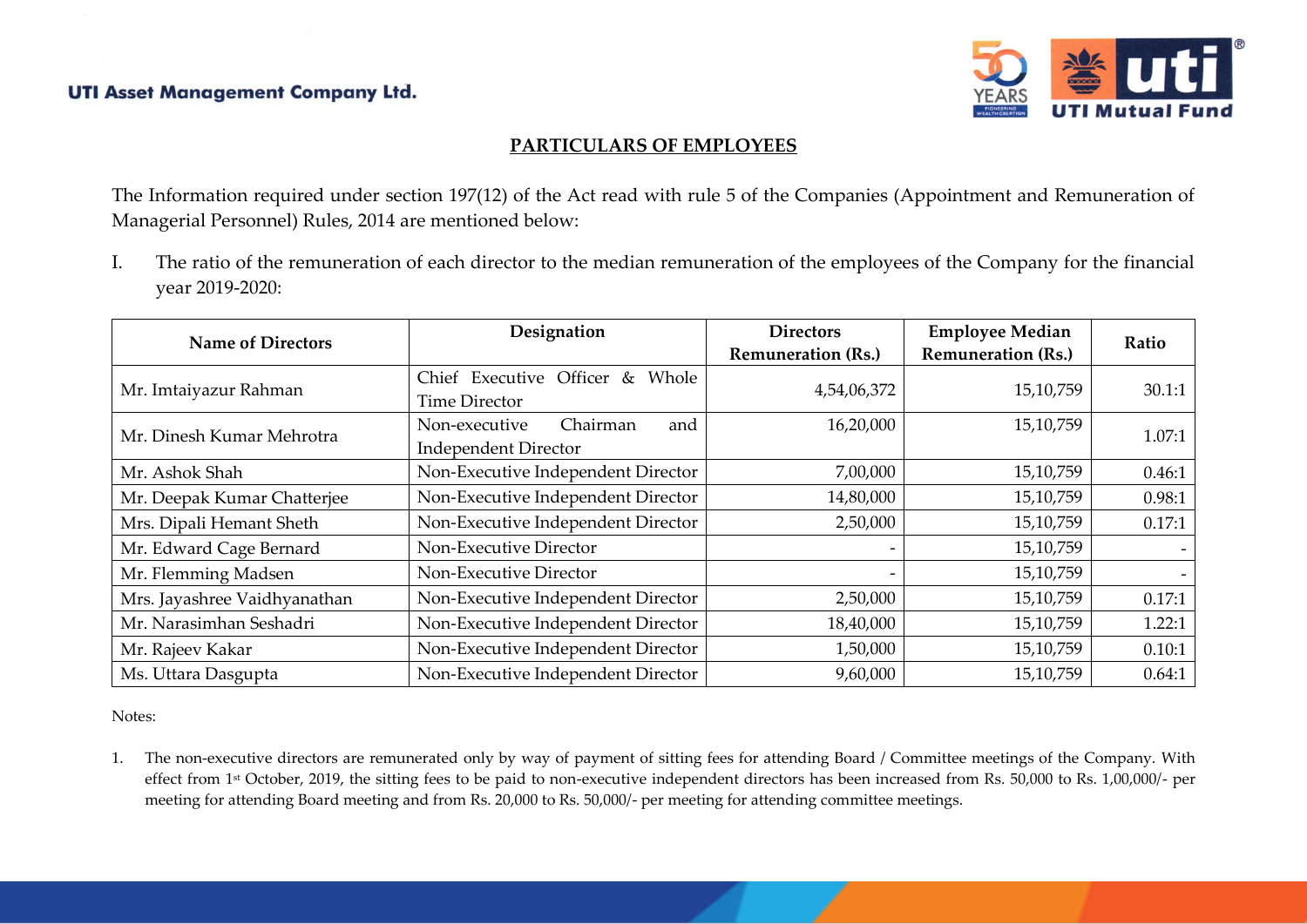

## **PARTICULARS OF EMPLOYEES**

The Information required under section 197(12) of the Act read with rule 5 of the Companies (Appointment and Remuneration of Managerial Personnel) Rules, 2014 are mentioned below:

I. The ratio of the remuneration of each director to the median remuneration of the employees of the Company for the financial year 2019-2020:

| <b>Name of Directors</b>     | Designation                                                     | <b>Directors</b><br><b>Remuneration (Rs.)</b> | <b>Employee Median</b><br><b>Remuneration (Rs.)</b> | Ratio  |
|------------------------------|-----------------------------------------------------------------|-----------------------------------------------|-----------------------------------------------------|--------|
| Mr. Imtaiyazur Rahman        | Chief Executive Officer &<br>Whole<br><b>Time Director</b>      | 4,54,06,372                                   | 15,10,759                                           | 30.1:1 |
| Mr. Dinesh Kumar Mehrotra    | Chairman<br>Non-executive<br>and<br><b>Independent Director</b> | 16,20,000                                     | 15,10,759                                           | 1.07:1 |
| Mr. Ashok Shah               | Non-Executive Independent Director                              | 7,00,000                                      | 15,10,759                                           | 0.46:1 |
| Mr. Deepak Kumar Chatterjee  | Non-Executive Independent Director                              | 14,80,000                                     | 15,10,759                                           | 0.98:1 |
| Mrs. Dipali Hemant Sheth     | Non-Executive Independent Director                              | 2,50,000                                      | 15,10,759                                           | 0.17:1 |
| Mr. Edward Cage Bernard      | Non-Executive Director                                          |                                               | 15,10,759                                           |        |
| Mr. Flemming Madsen          | Non-Executive Director                                          |                                               | 15,10,759                                           |        |
| Mrs. Jayashree Vaidhyanathan | Non-Executive Independent Director                              | 2,50,000                                      | 15,10,759                                           | 0.17:1 |
| Mr. Narasimhan Seshadri      | Non-Executive Independent Director                              | 18,40,000                                     | 15,10,759                                           | 1.22:1 |
| Mr. Rajeev Kakar             | Non-Executive Independent Director                              | 1,50,000                                      | 15,10,759                                           | 0.10:1 |
| Ms. Uttara Dasgupta          | Non-Executive Independent Director                              | 9,60,000                                      | 15,10,759                                           | 0.64:1 |

Notes:

1. The non-executive directors are remunerated only by way of payment of sitting fees for attending Board / Committee meetings of the Company. With effect from 1st October, 2019, the sitting fees to be paid to non-executive independent directors has been increased from Rs. 50,000 to Rs. 1,00,000/- per meeting for attending Board meeting and from Rs. 20,000 to Rs. 50,000/- per meeting for attending committee meetings.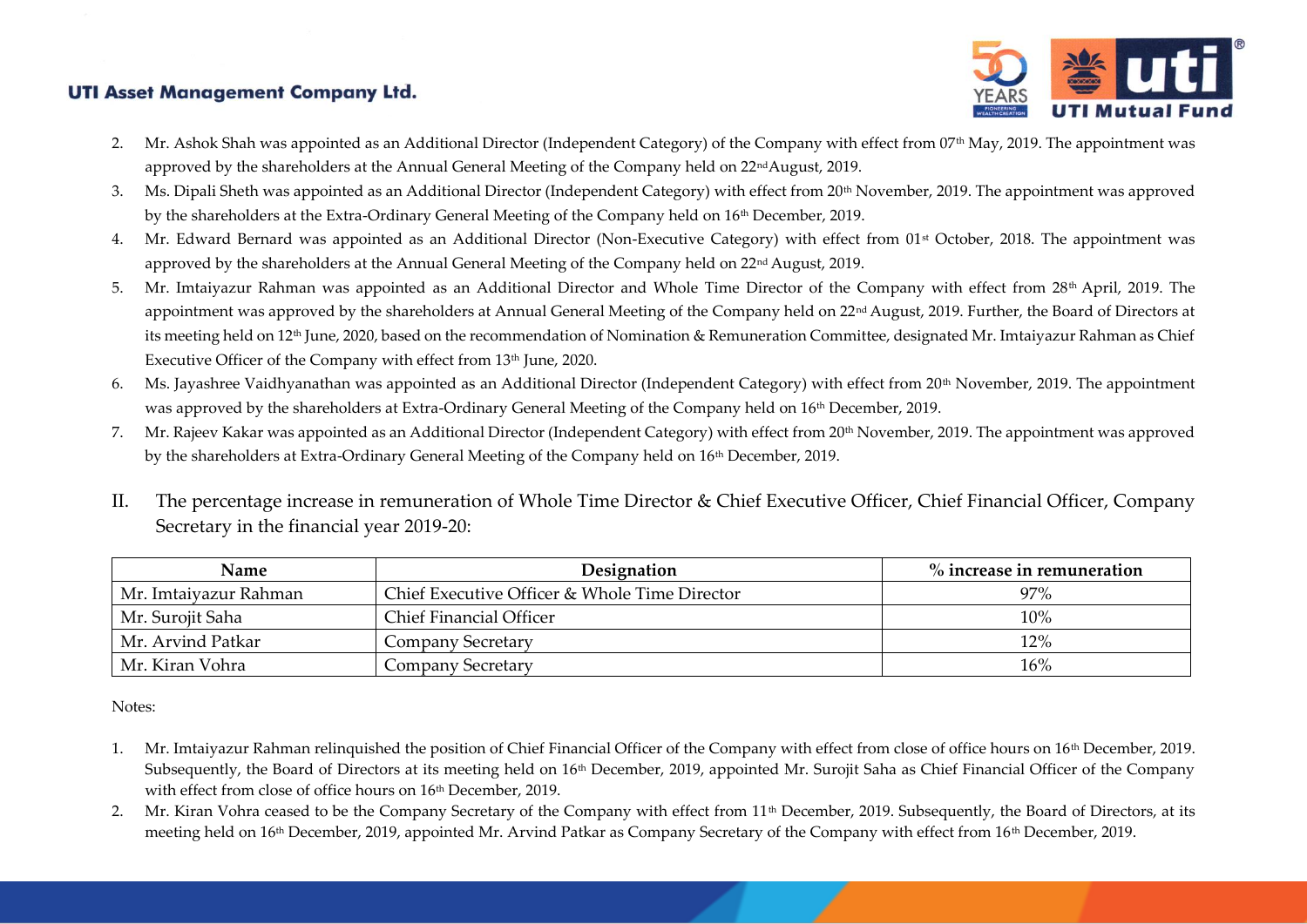

- 2. Mr. Ashok Shah was appointed as an Additional Director (Independent Category) of the Company with effect from 07<sup>th</sup> May, 2019. The appointment was approved by the shareholders at the Annual General Meeting of the Company held on 22<sup>nd</sup>August, 2019.
- 3. Ms. Dipali Sheth was appointed as an Additional Director (Independent Category) with effect from 20<sup>th</sup> November, 2019. The appointment was approved by the shareholders at the Extra-Ordinary General Meeting of the Company held on 16th December, 2019.
- 4. Mr. Edward Bernard was appointed as an Additional Director (Non-Executive Category) with effect from 01<sup>st</sup> October, 2018. The appointment was approved by the shareholders at the Annual General Meeting of the Company held on 22<sup>nd</sup> August, 2019.
- 5. Mr. Imtaiyazur Rahman was appointed as an Additional Director and Whole Time Director of the Company with effect from 28<sup>th</sup> April, 2019. The appointment was approved by the shareholders at Annual General Meeting of the Company held on 22<sup>nd</sup> August, 2019. Further, the Board of Directors at its meeting held on 12<sup>th</sup> June, 2020, based on the recommendation of Nomination & Remuneration Committee, designated Mr. Imtaiyazur Rahman as Chief Executive Officer of the Company with effect from 13<sup>th</sup> June, 2020.
- 6. Ms. Jayashree Vaidhyanathan was appointed as an Additional Director (Independent Category) with effect from 20th November, 2019. The appointment was approved by the shareholders at Extra-Ordinary General Meeting of the Company held on 16th December, 2019.
- 7. Mr. Rajeev Kakar was appointed as an Additional Director (Independent Category) with effect from 20<sup>th</sup> November, 2019. The appointment was approved by the shareholders at Extra-Ordinary General Meeting of the Company held on 16th December, 2019.
- II. The percentage increase in remuneration of Whole Time Director & Chief Executive Officer, Chief Financial Officer, Company Secretary in the financial year 2019-20:

| Name                  | Designation                                   | $\%$ increase in remuneration |  |  |
|-----------------------|-----------------------------------------------|-------------------------------|--|--|
| Mr. Imtaiyazur Rahman | Chief Executive Officer & Whole Time Director | 97%                           |  |  |
| Mr. Surojit Saha      | <b>Chief Financial Officer</b>                | $10\%$                        |  |  |
| Mr. Arvind Patkar     | Company Secretary                             | 12%                           |  |  |
| Mr. Kiran Vohra       | Company Secretary                             | 16%                           |  |  |

Notes:

- 1. Mr. Imtaiyazur Rahman relinquished the position of Chief Financial Officer of the Company with effect from close of office hours on 16<sup>th</sup> December, 2019. Subsequently, the Board of Directors at its meeting held on 16<sup>th</sup> December, 2019, appointed Mr. Surojit Saha as Chief Financial Officer of the Company with effect from close of office hours on 16<sup>th</sup> December, 2019.
- 2. Mr. Kiran Vohra ceased to be the Company Secretary of the Company with effect from 11<sup>th</sup> December, 2019. Subsequently, the Board of Directors, at its meeting held on 16<sup>th</sup> December, 2019, appointed Mr. Arvind Patkar as Company Secretary of the Company with effect from 16<sup>th</sup> December, 2019.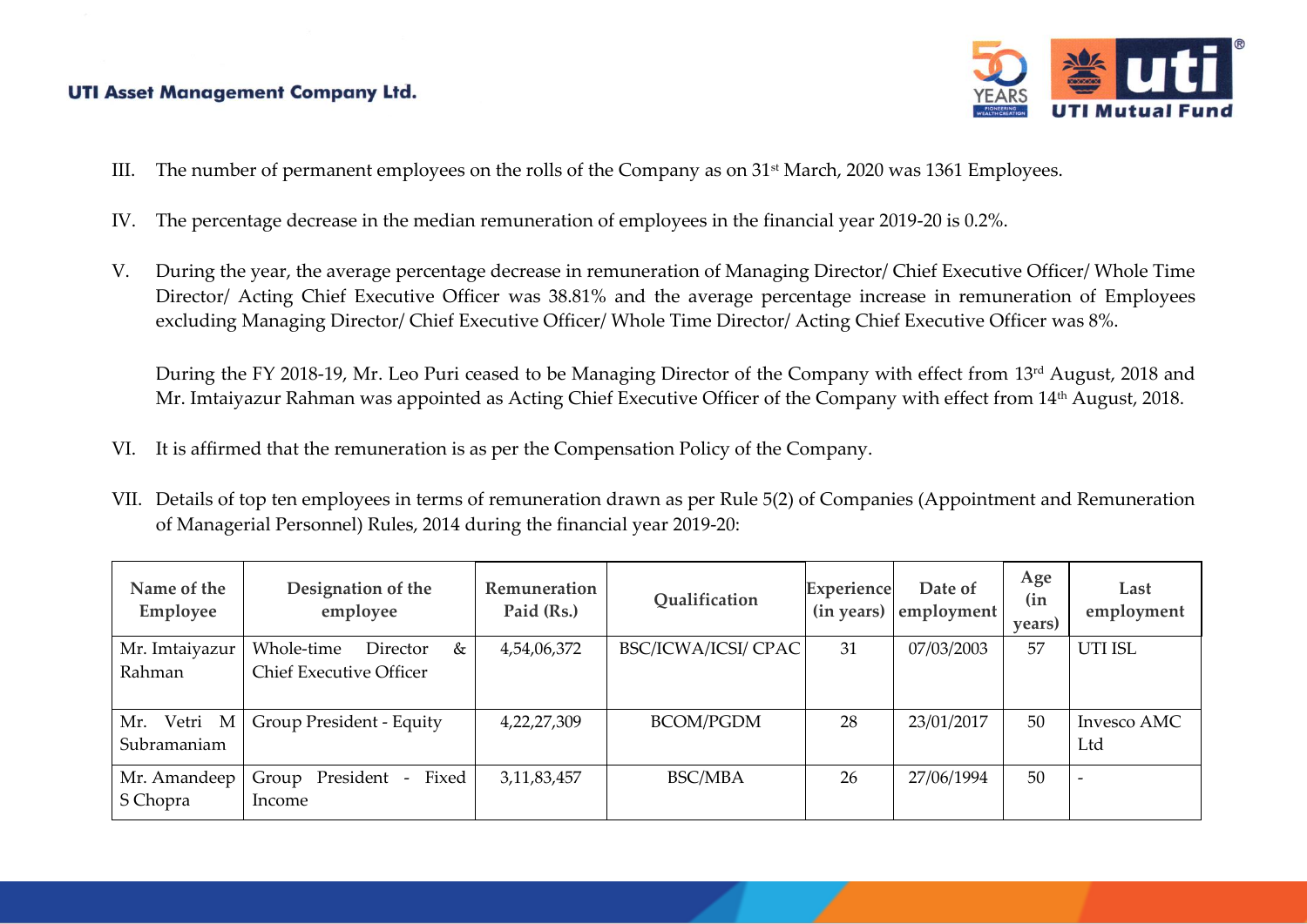

- III. The number of permanent employees on the rolls of the Company as on 31st March, 2020 was 1361 Employees.
- IV. The percentage decrease in the median remuneration of employees in the financial year 2019-20 is 0.2%.
- V. During the year, the average percentage decrease in remuneration of Managing Director/ Chief Executive Officer/ Whole Time Director/ Acting Chief Executive Officer was 38.81% and the average percentage increase in remuneration of Employees excluding Managing Director/ Chief Executive Officer/ Whole Time Director/ Acting Chief Executive Officer was 8%.

During the FY 2018-19, Mr. Leo Puri ceased to be Managing Director of the Company with effect from 13rd August, 2018 and Mr. Imtaiyazur Rahman was appointed as Acting Chief Executive Officer of the Company with effect from 14<sup>th</sup> August, 2018.

- VI. It is affirmed that the remuneration is as per the Compensation Policy of the Company.
- VII. Details of top ten employees in terms of remuneration drawn as per Rule 5(2) of Companies (Appointment and Remuneration of Managerial Personnel) Rules, 2014 during the financial year 2019-20:

| Name of the<br>Employee    | Designation of the<br>employee                                | Remuneration<br>Paid (Rs.) | Qualification       | Experience<br>$(in \text{ years})$ | Date of<br>employment | Age<br>(in)<br>years) | Last<br>employment       |
|----------------------------|---------------------------------------------------------------|----------------------------|---------------------|------------------------------------|-----------------------|-----------------------|--------------------------|
| Mr. Imtaiyazur<br>Rahman   | Whole-time<br>Director<br>&<br><b>Chief Executive Officer</b> | 4,54,06,372                | BSC/ICWA/ICSI/ CPAC | 31                                 | 07/03/2003            | 57                    | <b>UTI ISL</b>           |
| Mr. Vetri M<br>Subramaniam | Group President - Equity                                      | 4,22,27,309                | <b>BCOM/PGDM</b>    | 28                                 | 23/01/2017            | 50                    | Invesco AMC<br>Ltd       |
| Mr. Amandeep<br>S Chopra   | Fixed<br>President<br>Group<br>$\sim$<br>Income               | 3, 11, 83, 457             | <b>BSC/MBA</b>      | 26                                 | 27/06/1994            | 50                    | $\overline{\phantom{a}}$ |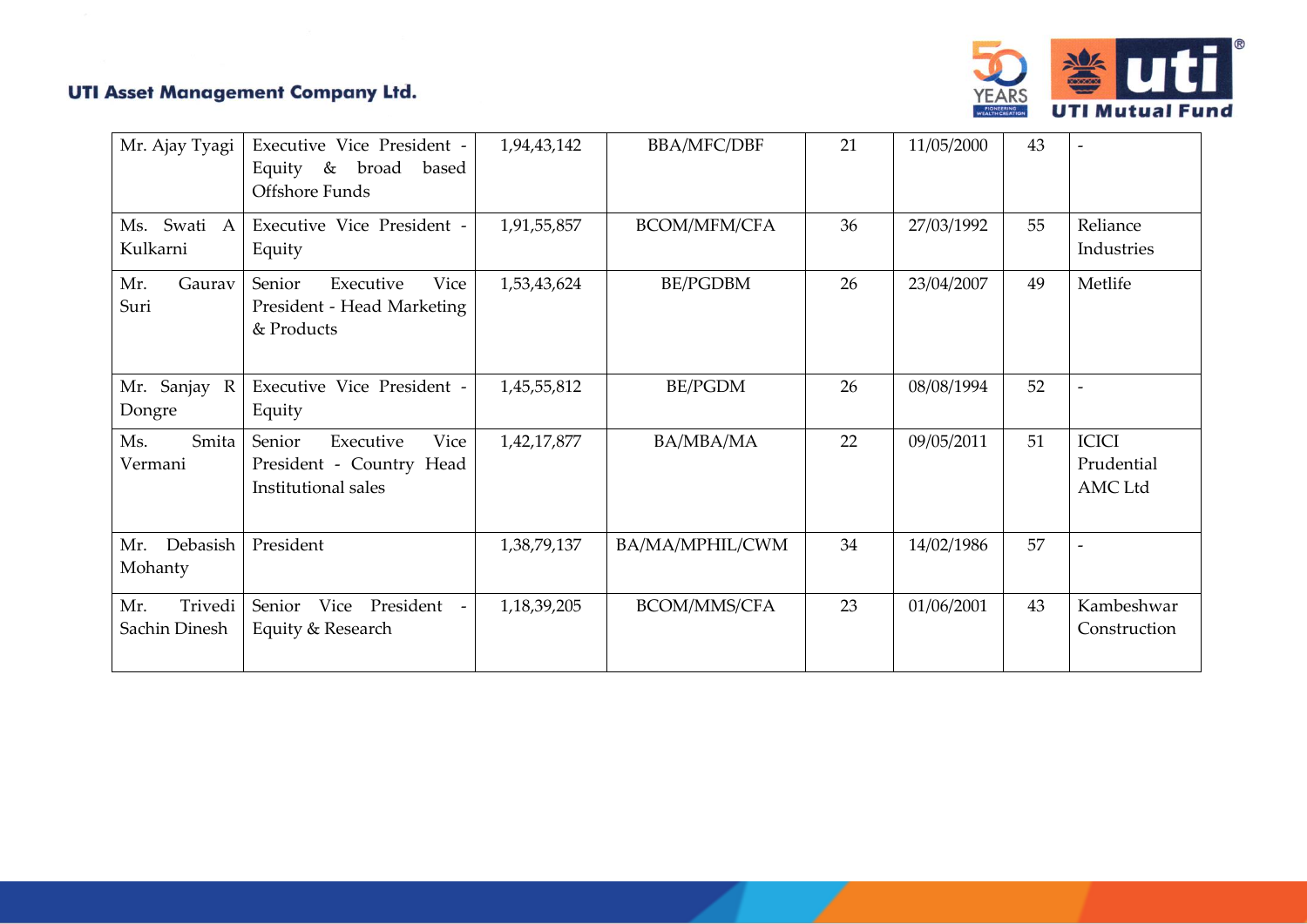

| Mr. Ajay Tyagi                  | Executive Vice President -<br>Equity & broad<br>based<br>Offshore Funds        | 1,94,43,142 | <b>BBA/MFC/DBF</b> | 21 | 11/05/2000 | 43 |                                              |
|---------------------------------|--------------------------------------------------------------------------------|-------------|--------------------|----|------------|----|----------------------------------------------|
| Ms. Swati A<br>Kulkarni         | Executive Vice President -<br>Equity                                           | 1,91,55,857 | BCOM/MFM/CFA       | 36 | 27/03/1992 | 55 | Reliance<br>Industries                       |
| Gaurav<br>Mr.<br>Suri           | Senior<br>Executive<br>Vice<br>President - Head Marketing<br>& Products        | 1,53,43,624 | <b>BE/PGDBM</b>    | 26 | 23/04/2007 | 49 | Metlife                                      |
| Mr. Sanjay R<br>Dongre          | Executive Vice President -<br>Equity                                           | 1,45,55,812 | <b>BE/PGDM</b>     | 26 | 08/08/1994 | 52 |                                              |
| Ms.<br>Smita<br>Vermani         | Senior<br>Vice<br>Executive<br>President - Country Head<br>Institutional sales | 1,42,17,877 | BA/MBA/MA          | 22 | 09/05/2011 | 51 | <b>ICICI</b><br>Prudential<br><b>AMC</b> Ltd |
| Debasish<br>Mr.<br>Mohanty      | President                                                                      | 1,38,79,137 | BA/MA/MPHIL/CWM    | 34 | 14/02/1986 | 57 |                                              |
| Trivedi<br>Mr.<br>Sachin Dinesh | Senior<br>Vice President<br>$\overline{\phantom{a}}$<br>Equity & Research      | 1,18,39,205 | BCOM/MMS/CFA       | 23 | 01/06/2001 | 43 | Kambeshwar<br>Construction                   |